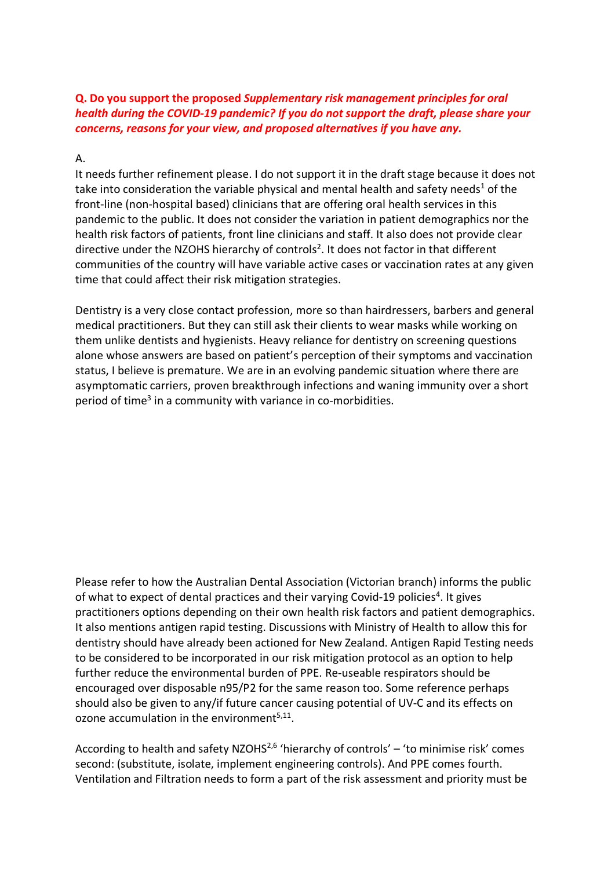#### **Q. Do you support the proposed** *Supplementary risk management principles for oral health during the COVID-19 pandemic? If you do not support the draft, please share your concerns, reasons for your view, and proposed alternatives if you have any.*

#### A.

It needs further refinement please. I do not support it in the draft stage because it does not take into consideration the variable physical and mental health and safety needs<sup>1</sup> of the front-line (non-hospital based) clinicians that are offering oral health services in this pandemic to the public. It does not consider the variation in patient demographics nor the health risk factors of patients, front line clinicians and staff. It also does not provide clear directive under the NZOHS hierarchy of controls<sup>2</sup>. It does not factor in that different communities of the country will have variable active cases or vaccination rates at any given time that could affect their risk mitigation strategies.

Dentistry is a very close contact profession, more so than hairdressers, barbers and general medical practitioners. But they can still ask their clients to wear masks while working on them unlike dentists and hygienists. Heavy reliance for dentistry on screening questions alone whose answers are based on patient's perception of their symptoms and vaccination status, I believe is premature. We are in an evolving pandemic situation where there are asymptomatic carriers, proven breakthrough infections and waning immunity over a short period of time<sup>3</sup> in a community with variance in co-morbidities.

Please refer to how the Australian Dental Association (Victorian branch) informs the public of what to expect of dental practices and their varying Covid-19 policies<sup>4</sup>. It gives practitioners options depending on their own health risk factors and patient demographics. It also mentions antigen rapid testing. Discussions with Ministry of Health to allow this for dentistry should have already been actioned for New Zealand. Antigen Rapid Testing needs to be considered to be incorporated in our risk mitigation protocol as an option to help further reduce the environmental burden of PPE. Re-useable respirators should be encouraged over disposable n95/P2 for the same reason too. Some reference perhaps should also be given to any/if future cancer causing potential of UV-C and its effects on ozone accumulation in the environment $5,11$ .

According to health and safety NZOHS<sup>2,6</sup> 'hierarchy of controls' – 'to minimise risk' comes second: (substitute, isolate, implement engineering controls). And PPE comes fourth. Ventilation and Filtration needs to form a part of the risk assessment and priority must be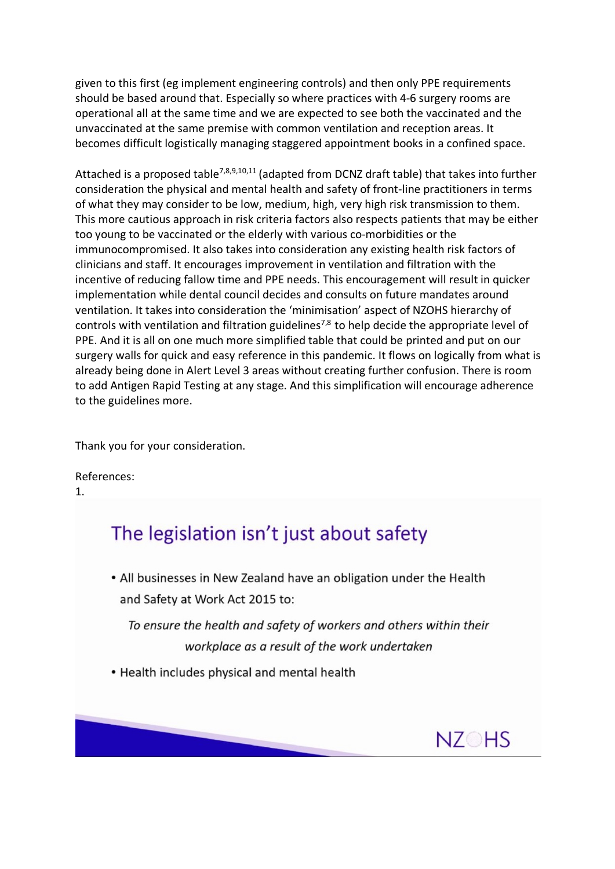given to this first (eg implement engineering controls) and then only PPE requirements should be based around that. Especially so where practices with 4-6 surgery rooms are operational all at the same time and we are expected to see both the vaccinated and the unvaccinated at the same premise with common ventilation and reception areas. It becomes difficult logistically managing staggered appointment books in a confined space.

Attached is a proposed table<sup>7,8,9,10,11</sup> (adapted from DCNZ draft table) that takes into further consideration the physical and mental health and safety of front-line practitioners in terms of what they may consider to be low, medium, high, very high risk transmission to them. This more cautious approach in risk criteria factors also respects patients that may be either too young to be vaccinated or the elderly with various co-morbidities or the immunocompromised. It also takes into consideration any existing health risk factors of clinicians and staff. It encourages improvement in ventilation and filtration with the incentive of reducing fallow time and PPE needs. This encouragement will result in quicker implementation while dental council decides and consults on future mandates around ventilation. It takes into consideration the 'minimisation' aspect of NZOHS hierarchy of controls with ventilation and filtration guidelines<sup>7,8</sup> to help decide the appropriate level of PPE. And it is all on one much more simplified table that could be printed and put on our surgery walls for quick and easy reference in this pandemic. It flows on logically from what is already being done in Alert Level 3 areas without creating further confusion. There is room to add Antigen Rapid Testing at any stage. And this simplification will encourage adherence to the guidelines more.

Thank you for your consideration.

References: 1.

# The legislation isn't just about safety

• All businesses in New Zealand have an obligation under the Health and Safety at Work Act 2015 to:

To ensure the health and safety of workers and others within their workplace as a result of the work undertaken

• Health includes physical and mental health

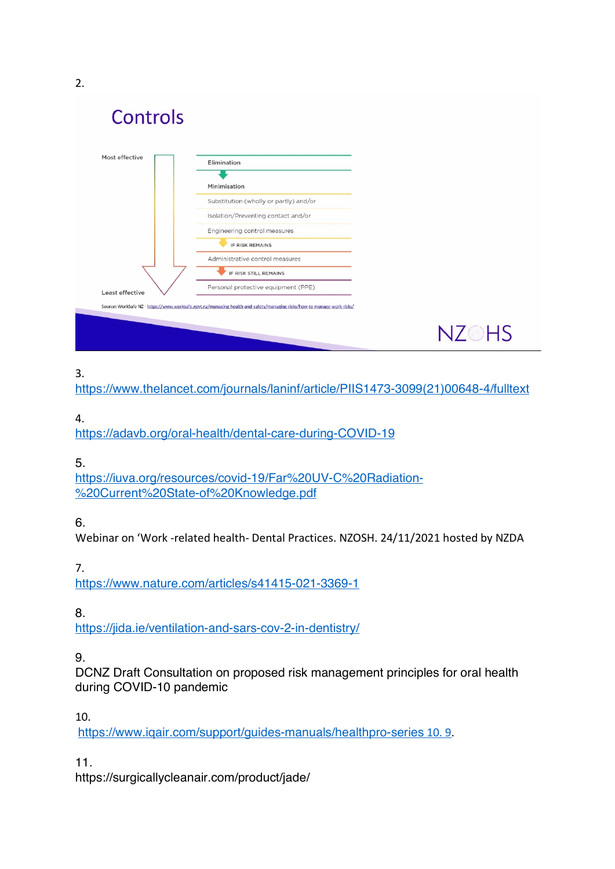2.

Controls

| Most effective  | Elimination                            |
|-----------------|----------------------------------------|
|                 | Minimisation                           |
|                 | Substitution (wholly or partly) and/or |
|                 | Isolation/Preventing contact and/or    |
|                 | Engineering control measures           |
|                 | <b>IF RISK REMAINS</b>                 |
|                 | Administrative control measures        |
|                 | IF RISK STILL REMAINS                  |
| Least effective | Personal protective equipment (PPE)    |

# 3.

https://www.thelancet.com/journals/laninf/article/PIIS1473-3099(21)00648-4/fulltext

**NZOHS** 

## 4.

https://adavb.org/oral-health/dental-care-during-COVID-19

# 5.

https://iuva.org/resources/covid-19/Far%20UV-C%20Radiation- %20Current%20State-of%20Knowledge.pdf

# 6.

Webinar on 'Work -related health- Dental Practices. NZOSH. 24/11/2021 hosted by NZDA

# 7.

https://www.nature.com/articles/s41415-021-3369-1

# 8.

https://jida.ie/ventilation-and-sars-cov-2-in-dentistry/

# 9.

DCNZ Draft Consultation on proposed risk management principles for oral health during COVID-10 pandemic

### 10.

https://www.iqair.com/support/guides-manuals/healthpro-series 10. 9.

11.

https://surgicallycleanair.com/product/jade/